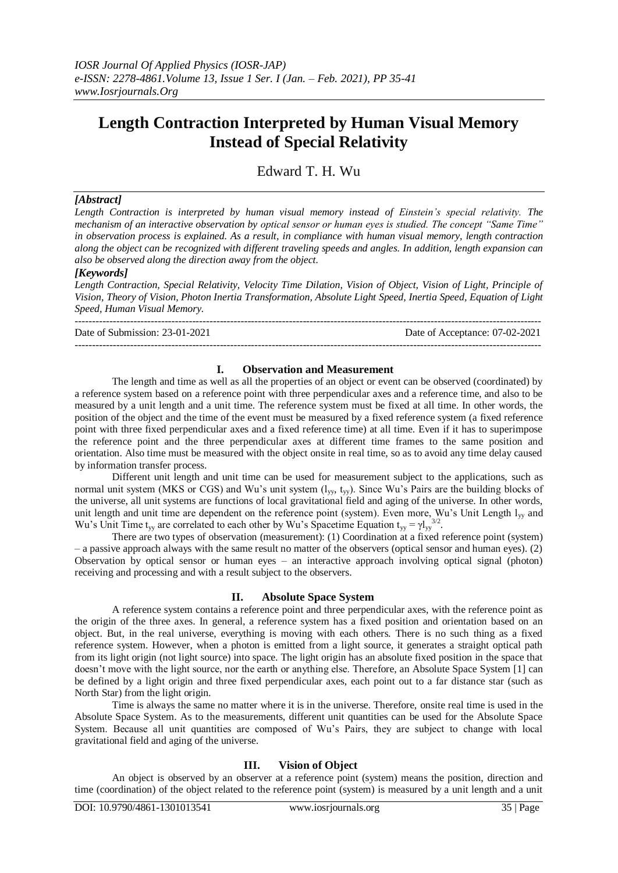# **Length Contraction Interpreted by Human Visual Memory Instead of Special Relativity**

Edward T. H. Wu

## *[Abstract]*

*Length Contraction is interpreted by human visual memory instead of Einstein's special relativity. The mechanism of an interactive observation by optical sensor or human eyes is studied. The concept "Same Time" in observation process is explained. As a result, in compliance with human visual memory, length contraction along the object can be recognized with different traveling speeds and angles. In addition, length expansion can also be observed along the direction away from the object.*

## *[Keywords]*

*Length Contraction, Special Relativity, Velocity Time Dilation, Vision of Object, Vision of Light, Principle of Vision, Theory of Vision, Photon Inertia Transformation, Absolute Light Speed, Inertia Speed, Equation of Light Speed, Human Visual Memory.* ---------------------------------------------------------------------------------------------------------------------------------------

Date of Submission: 23-01-2021 Date of Acceptance: 07-02-2021

#### **I. Observation and Measurement**

---------------------------------------------------------------------------------------------------------------------------------------

The length and time as well as all the properties of an object or event can be observed (coordinated) by a reference system based on a reference point with three perpendicular axes and a reference time, and also to be measured by a unit length and a unit time. The reference system must be fixed at all time. In other words, the position of the object and the time of the event must be measured by a fixed reference system (a fixed reference point with three fixed perpendicular axes and a fixed reference time) at all time. Even if it has to superimpose the reference point and the three perpendicular axes at different time frames to the same position and orientation. Also time must be measured with the object onsite in real time, so as to avoid any time delay caused by information transfer process.

Different unit length and unit time can be used for measurement subject to the applications, such as normal unit system (MKS or CGS) and Wu's unit system (lyy, tyy). Since Wu's Pairs are the building blocks of the universe, all unit systems are functions of local gravitational field and aging of the universe. In other words, unit length and unit time are dependent on the reference point (system). Even more, Wu's Unit Length l<sub>yy</sub> and Wu's Unit Time t<sub>yy</sub> are correlated to each other by Wu's Spacetime Equation t<sub>yy</sub> =  $\gamma l_{yy}^{3/2}$ .

There are two types of observation (measurement): (1) Coordination at a fixed reference point (system) – a passive approach always with the same result no matter of the observers (optical sensor and human eyes). (2) Observation by optical sensor or human eyes – an interactive approach involving optical signal (photon) receiving and processing and with a result subject to the observers.

#### **II. Absolute Space System**

A reference system contains a reference point and three perpendicular axes, with the reference point as the origin of the three axes. In general, a reference system has a fixed position and orientation based on an object. But, in the real universe, everything is moving with each others. There is no such thing as a fixed reference system. However, when a photon is emitted from a light source, it generates a straight optical path from its light origin (not light source) into space. The light origin has an absolute fixed position in the space that doesn't move with the light source, nor the earth or anything else. Therefore, an Absolute Space System [1] can be defined by a light origin and three fixed perpendicular axes, each point out to a far distance star (such as North Star) from the light origin.

Time is always the same no matter where it is in the universe. Therefore, onsite real time is used in the Absolute Space System. As to the measurements, different unit quantities can be used for the Absolute Space System. Because all unit quantities are composed of Wu's Pairs, they are subject to change with local gravitational field and aging of the universe.

#### **III. Vision of Object**

An object is observed by an observer at a reference point (system) means the position, direction and time (coordination) of the object related to the reference point (system) is measured by a unit length and a unit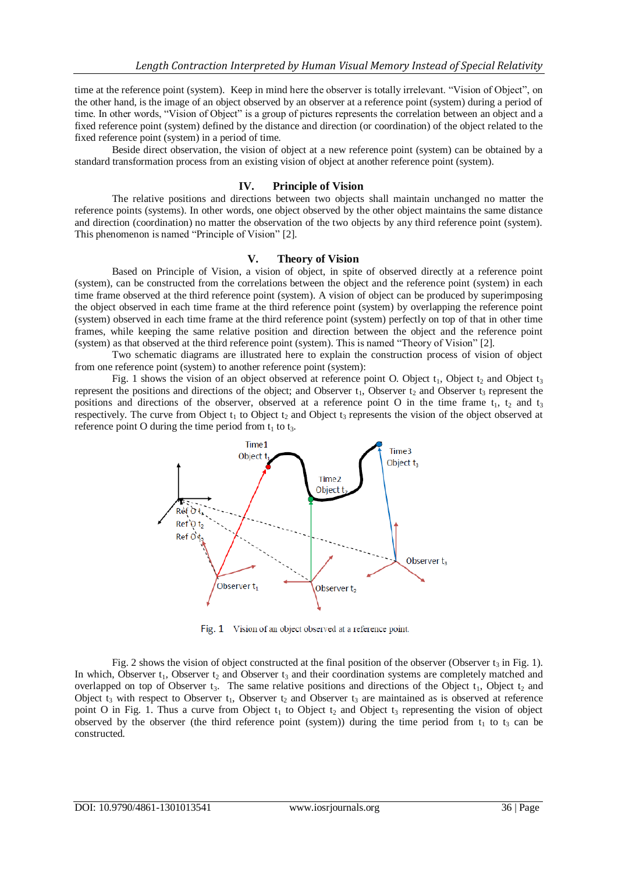time at the reference point (system). Keep in mind here the observer is totally irrelevant. "Vision of Object", on the other hand, is the image of an object observed by an observer at a reference point (system) during a period of time. In other words, "Vision of Object" is a group of pictures represents the correlation between an object and a fixed reference point (system) defined by the distance and direction (or coordination) of the object related to the fixed reference point (system) in a period of time.

Beside direct observation, the vision of object at a new reference point (system) can be obtained by a standard transformation process from an existing vision of object at another reference point (system).

## **IV. Principle of Vision**

The relative positions and directions between two objects shall maintain unchanged no matter the reference points (systems). In other words, one object observed by the other object maintains the same distance and direction (coordination) no matter the observation of the two objects by any third reference point (system). This phenomenon is named "Principle of Vision" [2].

## **V. Theory of Vision**

Based on Principle of Vision, a vision of object, in spite of observed directly at a reference point (system), can be constructed from the correlations between the object and the reference point (system) in each time frame observed at the third reference point (system). A vision of object can be produced by superimposing the object observed in each time frame at the third reference point (system) by overlapping the reference point (system) observed in each time frame at the third reference point (system) perfectly on top of that in other time frames, while keeping the same relative position and direction between the object and the reference point (system) as that observed at the third reference point (system). This is named "Theory of Vision" [2].

Two schematic diagrams are illustrated here to explain the construction process of vision of object from one reference point (system) to another reference point (system):

Fig. 1 shows the vision of an object observed at reference point O. Object  $t_1$ , Object  $t_2$  and Object  $t_3$ represent the positions and directions of the object; and Observer  $t_1$ , Observer  $t_2$  and Observer  $t_3$  represent the positions and directions of the observer, observed at a reference point O in the time frame  $t_1$ ,  $t_2$  and  $t_3$ respectively. The curve from Object  $t_1$  to Object  $t_2$  and Object  $t_3$  represents the vision of the object observed at reference point O during the time period from  $t_1$  to  $t_3$ .



Fig. 1 Vision of an object observed at a reference point.

Fig. 2 shows the vision of object constructed at the final position of the observer (Observer  $t_3$  in Fig. 1). In which, Observer  $t_1$ , Observer  $t_2$  and Observer  $t_3$  and their coordination systems are completely matched and overlapped on top of Observer  $t_3$ . The same relative positions and directions of the Object  $t_1$ , Object  $t_2$  and Object  $t_3$  with respect to Observer  $t_1$ , Observer  $t_2$  and Observer  $t_3$  are maintained as is observed at reference point O in Fig. 1. Thus a curve from Object  $t_1$  to Object  $t_2$  and Object  $t_3$  representing the vision of object observed by the observer (the third reference point (system)) during the time period from  $t_1$  to  $t_3$  can be constructed.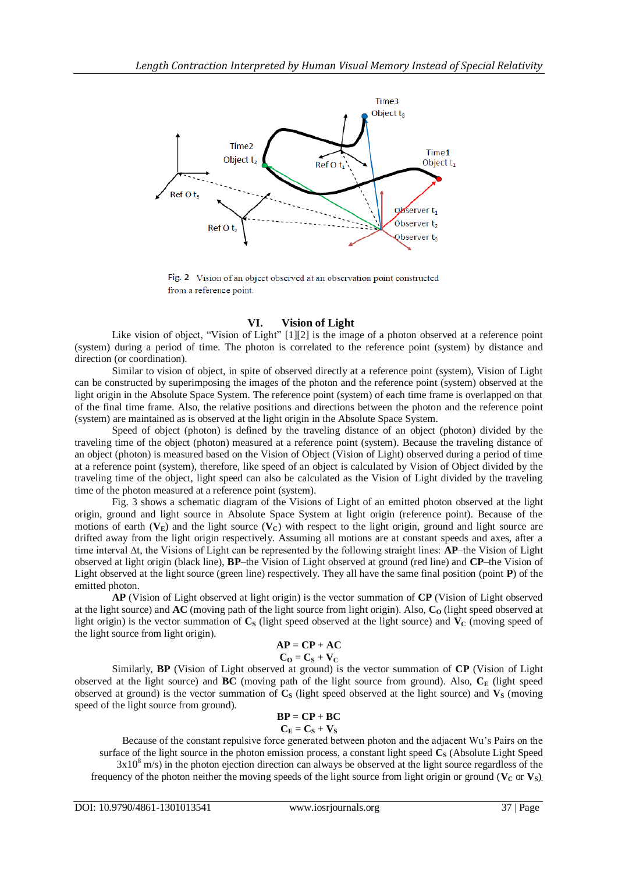

Fig. 2 Vision of an object observed at an observation point constructed from a reference point.

## **VI. Vision of Light**

Like vision of object, "Vision of Light" [1][2] is the image of a photon observed at a reference point (system) during a period of time. The photon is correlated to the reference point (system) by distance and direction (or coordination).

Similar to vision of object, in spite of observed directly at a reference point (system), Vision of Light can be constructed by superimposing the images of the photon and the reference point (system) observed at the light origin in the Absolute Space System. The reference point (system) of each time frame is overlapped on that of the final time frame. Also, the relative positions and directions between the photon and the reference point (system) are maintained as is observed at the light origin in the Absolute Space System.

Speed of object (photon) is defined by the traveling distance of an object (photon) divided by the traveling time of the object (photon) measured at a reference point (system). Because the traveling distance of an object (photon) is measured based on the Vision of Object (Vision of Light) observed during a period of time at a reference point (system), therefore, like speed of an object is calculated by Vision of Object divided by the traveling time of the object, light speed can also be calculated as the Vision of Light divided by the traveling time of the photon measured at a reference point (system).

Fig. 3 shows a schematic diagram of the Visions of Light of an emitted photon observed at the light origin, ground and light source in Absolute Space System at light origin (reference point). Because of the motions of earth  $(V_E)$  and the light source  $(V_C)$  with respect to the light origin, ground and light source are drifted away from the light origin respectively. Assuming all motions are at constant speeds and axes, after a time interval ∆t, the Visions of Light can be represented by the following straight lines: **AP**–the Vision of Light observed at light origin (black line), **BP**–the Vision of Light observed at ground (red line) and **CP**–the Vision of Light observed at the light source (green line) respectively. They all have the same final position (point **P**) of the emitted photon.

**AP** (Vision of Light observed at light origin) is the vector summation of **CP** (Vision of Light observed at the light source) and  $\overrightarrow{AC}$  (moving path of the light source from light origin). Also,  $C_0$  (light speed observed at light origin) is the vector summation of  $C_8$  (light speed observed at the light source) and  $V_c$  (moving speed of the light source from light origin).

$$
\mathbf{AP} = \mathbf{CP} + \mathbf{AC}
$$

$$
C_O = C_S + V_C
$$

Similarly, **BP** (Vision of Light observed at ground) is the vector summation of **CP** (Vision of Light observed at the light source) and **BC** (moving path of the light source from ground). Also,  $C_F$  (light speed observed at ground) is the vector summation of  $C<sub>S</sub>$  (light speed observed at the light source) and  $V<sub>S</sub>$  (moving speed of the light source from ground).

$$
BP = CP + BC
$$

#### $C_{\mathbf{E}} = C_{\mathbf{S}} + V_{\mathbf{S}}$

Because of the constant repulsive force generated between photon and the adjacent Wu's Pairs on the surface of the light source in the photon emission process, a constant light speed **C<sup>S</sup>** (Absolute Light Speed  $3x10<sup>8</sup>$  m/s) in the photon ejection direction can always be observed at the light source regardless of the frequency of the photon neither the moving speeds of the light source from light origin or ground ( $V_c$  or  $V_s$ ).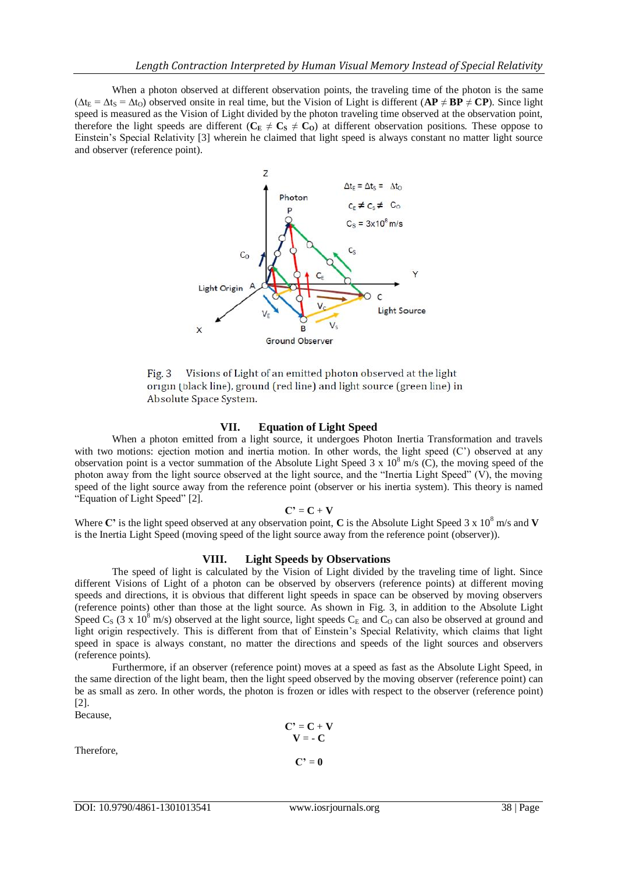When a photon observed at different observation points, the traveling time of the photon is the same  $(\Delta t_E = \Delta t_S = \Delta t_O)$  observed onsite in real time, but the Vision of Light is different  $(\mathbf{AP} \neq \mathbf{BP} \neq \mathbf{CP})$ . Since light speed is measured as the Vision of Light divided by the photon traveling time observed at the observation point, therefore the light speeds are different ( $C_E \neq C_S \neq C_O$ ) at different observation positions. These oppose to Einstein's Special Relativity [3] wherein he claimed that light speed is always constant no matter light source and observer (reference point).



Visions of Light of an emitted photon observed at the light  $Fig. 3$ origin (black line), ground (red line) and light source (green line) in Absolute Space System.

## **VII. Equation of Light Speed**

When a photon emitted from a light source, it undergoes Photon Inertia Transformation and travels with two motions: ejection motion and inertia motion. In other words, the light speed (C') observed at any observation point is a vector summation of the Absolute Light Speed  $3 \times 10^8$  m/s (C), the moving speed of the photon away from the light source observed at the light source, and the "Inertia Light Speed" (V), the moving speed of the light source away from the reference point (observer or his inertia system). This theory is named "Equation of Light Speed" [2].

#### $C' = C + V$

Where C' is the light speed observed at any observation point, C is the Absolute Light Speed 3 x 10<sup>8</sup> m/s and **V** is the Inertia Light Speed (moving speed of the light source away from the reference point (observer)).

#### **VIII. Light Speeds by Observations**

The speed of light is calculated by the Vision of Light divided by the traveling time of light. Since different Visions of Light of a photon can be observed by observers (reference points) at different moving speeds and directions, it is obvious that different light speeds in space can be observed by moving observers (reference points) other than those at the light source. As shown in Fig. 3, in addition to the Absolute Light Speed C<sub>S</sub> (3 x 10<sup>8</sup> m/s) observed at the light source, light speeds C<sub>E</sub> and C<sub>O</sub> can also be observed at ground and light origin respectively. This is different from that of Einstein's Special Relativity, which claims that light speed in space is always constant, no matter the directions and speeds of the light sources and observers (reference points).

Furthermore, if an observer (reference point) moves at a speed as fast as the Absolute Light Speed, in the same direction of the light beam, then the light speed observed by the moving observer (reference point) can be as small as zero. In other words, the photon is frozen or idles with respect to the observer (reference point) [2].

Because,

Therefore,

$$
C' = C + V
$$

$$
V = -C
$$

$$
C' = 0
$$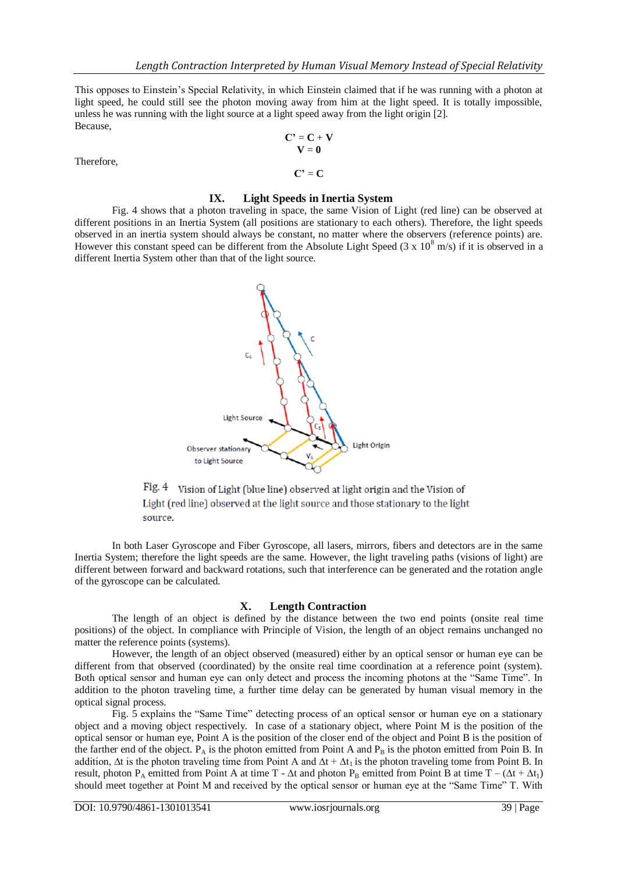This opposes to Einstein's Special Relativity, in which Einstein claimed that if he was running with a photon at light speed, he could still see the photon moving away from him at the light speed. It is totally impossible, unless he was running with the light source at a light speed away from the light origin [2]. Because,

Therefore,

$$
C' = C + V
$$
  

$$
V = 0
$$

 $C' = C$ 

## **IX. Light Speeds in Inertia System**

Fig. 4 shows that a photon traveling in space, the same Vision of Light (red line) can be observed at different positions in an Inertia System (all positions are stationary to each others). Therefore, the light speeds observed in an inertia system should always be constant, no matter where the observers (reference points) are. However this constant speed can be different from the Absolute Light Speed (3 x  $10^8$  m/s) if it is observed in a different Inertia System other than that of the light source.



Fig. 4 Vision of Light (blue line) observed at light origin and the Vision of Light (red line) observed at the light source and those stationary to the light source.

In both Laser Gyroscope and Fiber Gyroscope, all lasers, mirrors, fibers and detectors are in the same Inertia System; therefore the light speeds are the same. However, the light traveling paths (visions of light) are different between forward and backward rotations, such that interference can be generated and the rotation angle of the gyroscope can be calculated.

## **X. Length Contraction**

The length of an object is defined by the distance between the two end points (onsite real time positions) of the object. In compliance with Principle of Vision, the length of an object remains unchanged no matter the reference points (systems).

However, the length of an object observed (measured) either by an optical sensor or human eye can be different from that observed (coordinated) by the onsite real time coordination at a reference point (system). Both optical sensor and human eye can only detect and process the incoming photons at the "Same Time". In addition to the photon traveling time, a further time delay can be generated by human visual memory in the optical signal process.

Fig. 5 explains the "Same Time" detecting process of an optical sensor or human eye on a stationary object and a moving object respectively. In case of a stationary object, where Point M is the position of the optical sensor or human eye, Point A is the position of the closer end of the object and Point B is the position of the farther end of the object.  $P_A$  is the photon emitted from Point A and  $P_B$  is the photon emitted from Poin B. In addition,  $\Delta t$  is the photon traveling time from Point A and  $\Delta t + \Delta t_1$  is the photon traveling tome from Point B. In result, photon P<sub>A</sub> emitted from Point A at time T -  $\Delta t$  and photon P<sub>B</sub> emitted from Point B at time T – ( $\Delta t + \Delta t_1$ ) should meet together at Point M and received by the optical sensor or human eye at the "Same Time" T. With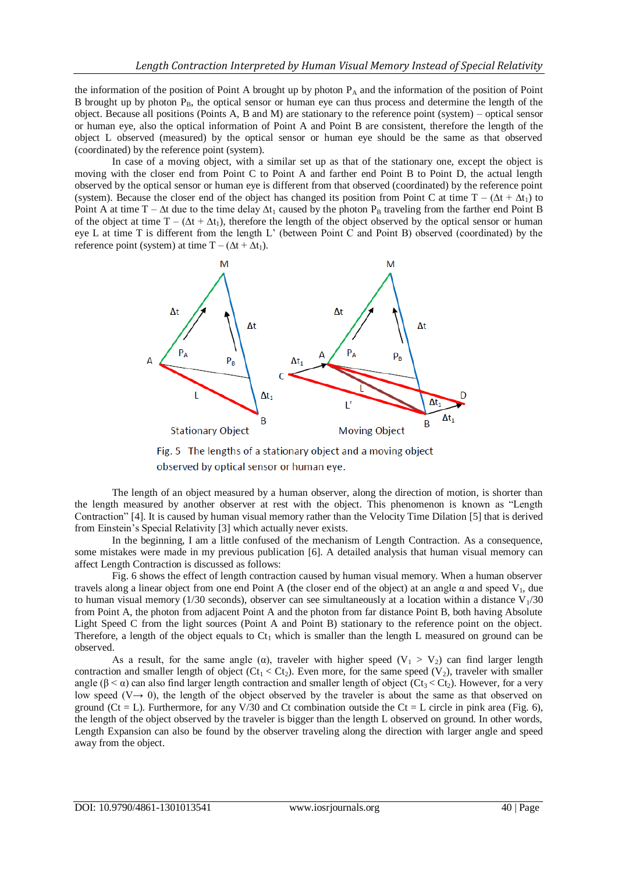the information of the position of Point A brought up by photon  $P_A$  and the information of the position of Point B brought up by photon  $P_B$ , the optical sensor or human eye can thus process and determine the length of the object. Because all positions (Points A, B and M) are stationary to the reference point (system) – optical sensor or human eye, also the optical information of Point A and Point B are consistent, therefore the length of the object L observed (measured) by the optical sensor or human eye should be the same as that observed (coordinated) by the reference point (system).

In case of a moving object, with a similar set up as that of the stationary one, except the object is moving with the closer end from Point C to Point A and farther end Point B to Point D, the actual length observed by the optical sensor or human eye is different from that observed (coordinated) by the reference point (system). Because the closer end of the object has changed its position from Point C at time  $T - (\Delta t + \Delta t_1)$  to Point A at time T –  $\Delta t$  due to the time delay  $\Delta t_1$  caused by the photon P<sub>B</sub> traveling from the farther end Point B of the object at time  $T - (\Delta t + \Delta t_1)$ , therefore the length of the object observed by the optical sensor or human eye L at time T is different from the length L' (between Point C and Point B) observed (coordinated) by the reference point (system) at time  $T - (\Delta t + \Delta t_1)$ .



Fig. 5 The lengths of a stationary object and a moving object observed by optical sensor or human eye.

The length of an object measured by a human observer, along the direction of motion, is shorter than the length measured by another observer at rest with the object. This phenomenon is known as "Length Contraction" [4]. It is caused by human visual memory rather than the Velocity Time Dilation [5] that is derived from Einstein's Special Relativity [3] which actually never exists.

In the beginning, I am a little confused of the mechanism of Length Contraction. As a consequence, some mistakes were made in my previous publication [6]. A detailed analysis that human visual memory can affect Length Contraction is discussed as follows:

Fig. 6 shows the effect of length contraction caused by human visual memory. When a human observer travels along a linear object from one end Point A (the closer end of the object) at an angle α and speed V<sub>1</sub>, due to human visual memory (1/30 seconds), observer can see simultaneously at a location within a distance  $V_1/30$ from Point A, the photon from adjacent Point A and the photon from far distance Point B, both having Absolute Light Speed C from the light sources (Point A and Point B) stationary to the reference point on the object. Therefore, a length of the object equals to  $Ct_1$  which is smaller than the length L measured on ground can be observed.

As a result, for the same angle ( $\alpha$ ), traveler with higher speed ( $V_1 > V_2$ ) can find larger length contraction and smaller length of object ( $Ct_1 < Ct_2$ ). Even more, for the same speed (V<sub>2</sub>), traveler with smaller angle ( $\beta < \alpha$ ) can also find larger length contraction and smaller length of object (Ct<sub>3</sub> < Ct<sub>2</sub>). However, for a very low speed ( $V \rightarrow 0$ ), the length of the object observed by the traveler is about the same as that observed on ground ( $Ct = L$ ). Furthermore, for any V/30 and Ct combination outside the Ct = L circle in pink area (Fig. 6), the length of the object observed by the traveler is bigger than the length L observed on ground. In other words, Length Expansion can also be found by the observer traveling along the direction with larger angle and speed away from the object.